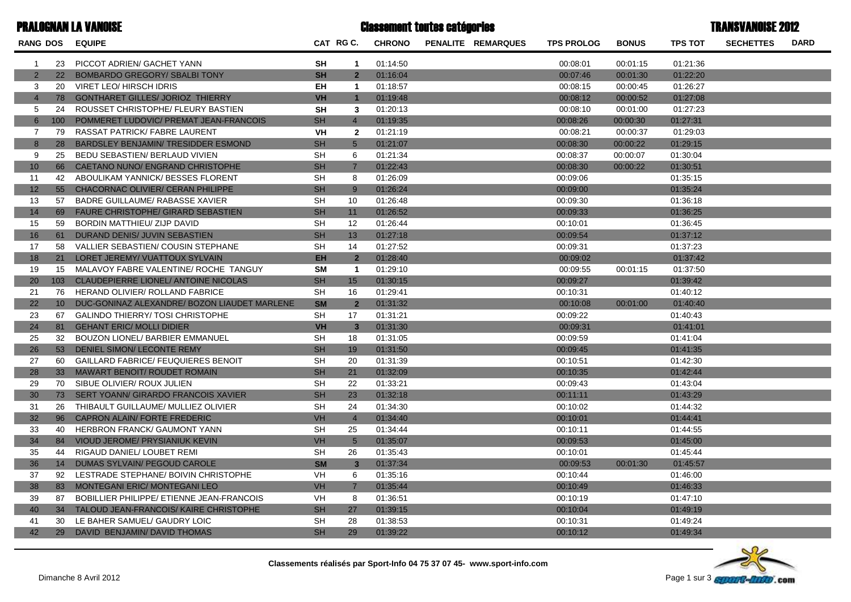| <b>PRALOGNAN LA VANOISE</b> |                 |                                              | <b>Classement toutes catégories</b> |                         |               |  |                    |                   |              | <b>TRANSVANOISE 2012</b> |                  |             |  |
|-----------------------------|-----------------|----------------------------------------------|-------------------------------------|-------------------------|---------------|--|--------------------|-------------------|--------------|--------------------------|------------------|-------------|--|
|                             |                 | RANG DOS EQUIPE                              |                                     | CAT RG C.               | <b>CHRONO</b> |  | PENALITE REMARQUES | <b>TPS PROLOG</b> | <b>BONUS</b> | <b>TPS TOT</b>           | <b>SECHETTES</b> | <b>DARD</b> |  |
| $\overline{1}$              | 23              | PICCOT ADRIEN/ GACHET YANN                   | <b>SH</b>                           | $\mathbf{1}$            | 01:14:50      |  |                    | 00:08:01          | 00:01:15     | 01:21:36                 |                  |             |  |
| $\overline{2}$              | 22 <sup>2</sup> | <b>BOMBARDO GREGORY/ SBALBI TONY</b>         | <b>SH</b>                           | $\overline{2}$          | 01:16:04      |  |                    | 00:07:46          | 00:01:30     | 01:22:20                 |                  |             |  |
| 3                           | 20              | <b>VIRET LEO/ HIRSCH IDRIS</b>               | EH                                  | $\overline{1}$          | 01:18:57      |  |                    | 00:08:15          | 00:00:45     | 01:26:27                 |                  |             |  |
| $\overline{4}$              | 78              | <b>GONTHARET GILLES/ JORIOZ THIERRY</b>      | <b>VH</b>                           | $\mathbf{1}$            | 01:19:48      |  |                    | 00:08:12          | 00:00:52     | 01:27:08                 |                  |             |  |
| 5                           | 24              | ROUSSET CHRISTOPHE/ FLEURY BASTIEN           | <b>SH</b>                           | 3                       | 01:20:13      |  |                    | 00:08:10          | 00:01:00     | 01:27:23                 |                  |             |  |
| 6                           | 100             | POMMERET LUDOVIC/ PREMAT JEAN-FRANCOIS       | <b>SH</b>                           | $\overline{4}$          | 01:19:35      |  |                    | 00:08:26          | 00:00:30     | 01:27:31                 |                  |             |  |
| 7                           | 79              | RASSAT PATRICK/ FABRE LAURENT                | <b>VH</b>                           | $\mathbf{2}$            | 01:21:19      |  |                    | 00:08:21          | 00:00:37     | 01:29:03                 |                  |             |  |
| 8                           | 28              | BARDSLEY BENJAMIN/ TRESIDDER ESMOND          | <b>SH</b>                           | $5\overline{)}$         | 01:21:07      |  |                    | 00:08:30          | 00:00:22     | 01:29:15                 |                  |             |  |
| 9                           | 25              | BEDU SEBASTIEN/ BERLAUD VIVIEN               | <b>SH</b>                           | 6                       | 01:21:34      |  |                    | 00:08:37          | 00:00:07     | 01:30:04                 |                  |             |  |
| 10                          | 66              | CAETANO NUNO/ ENGRAND CHRISTOPHE             | <b>SH</b>                           | $\overline{7}$          | 01:22:43      |  |                    | 00:08:30          | 00:00:22     | 01:30:51                 |                  |             |  |
| 11                          | 42              | ABOULIKAM YANNICK/ BESSES FLORENT            | SH                                  | 8                       | 01:26:09      |  |                    | 00:09:06          |              | 01:35:15                 |                  |             |  |
| 12                          | 55              | CHACORNAC OLIVIER/ CERAN PHILIPPE            | <b>SH</b>                           | 9                       | 01:26:24      |  |                    | 00:09:00          |              | 01:35:24                 |                  |             |  |
| 13                          | 57              | <b>BADRE GUILLAUME/ RABASSE XAVIER</b>       | <b>SH</b>                           | 10                      | 01:26:48      |  |                    | 00:09:30          |              | 01:36:18                 |                  |             |  |
| 14                          | 69              | <b>FAURE CHRISTOPHE/ GIRARD SEBASTIEN</b>    | <b>SH</b>                           | 11                      | 01:26:52      |  |                    | 00:09:33          |              | 01:36:25                 |                  |             |  |
| 15                          | 59              | <b>BORDIN MATTHIEU/ ZIJP DAVID</b>           | <b>SH</b>                           | 12                      | 01:26:44      |  |                    | 00:10:01          |              | 01:36:45                 |                  |             |  |
| 16                          | 61              | DURAND DENIS/ JUVIN SEBASTIEN                | <b>SH</b>                           | 13                      | 01:27:18      |  |                    | 00:09:54          |              | 01:37:12                 |                  |             |  |
| 17                          | 58              | VALLIER SEBASTIEN/ COUSIN STEPHANE           | <b>SH</b>                           | 14                      | 01:27:52      |  |                    | 00:09:31          |              | 01:37:23                 |                  |             |  |
| 18                          | 21              | LORET JEREMY/ VUATTOUX SYLVAIN               | <b>EH</b>                           | $\overline{2}$          | 01:28:40      |  |                    | 00:09:02          |              | 01:37:42                 |                  |             |  |
| 19                          | 15              | MALAVOY FABRE VALENTINE/ ROCHE TANGUY        | <b>SM</b>                           | $\overline{1}$          | 01:29:10      |  |                    | 00:09:55          | 00:01:15     | 01:37:50                 |                  |             |  |
| 20                          | 103             | <b>CLAUDEPIERRE LIONEL/ ANTOINE NICOLAS</b>  | <b>SH</b>                           | 15                      | 01:30:15      |  |                    | 00:09:27          |              | 01:39:42                 |                  |             |  |
| 21                          | 76              | HERAND OLIVIER/ ROLLAND FABRICE              | <b>SH</b>                           | 16                      | 01:29:41      |  |                    | 00:10:31          |              | 01:40:12                 |                  |             |  |
| 22                          | 10 <sup>°</sup> | DUC-GONINAZ ALEXANDRE/ BOZON LIAUDET MARLENE | <b>SM</b>                           | $\overline{2}$          | 01:31:32      |  |                    | 00:10:08          | 00:01:00     | 01:40:40                 |                  |             |  |
| 23                          | 67              | <b>GALINDO THIERRY/ TOSI CHRISTOPHE</b>      | <b>SH</b>                           | 17                      | 01:31:21      |  |                    | 00:09:22          |              | 01:40:43                 |                  |             |  |
| 24                          | 81              | <b>GEHANT ERIC/ MOLLI DIDIER</b>             | <b>VH</b>                           | $\overline{\mathbf{3}}$ | 01:31:30      |  |                    | 00:09:31          |              | 01:41:01                 |                  |             |  |
| 25                          | 32              | BOUZON LIONEL/ BARBIER EMMANUEL              | <b>SH</b>                           | 18                      | 01:31:05      |  |                    | 00:09:59          |              | 01:41:04                 |                  |             |  |
| 26                          | 53              | DENIEL SIMON/ LECONTE REMY                   | <b>SH</b>                           | 19                      | 01:31:50      |  |                    | 00:09:45          |              | 01:41:35                 |                  |             |  |
| 27                          | 60              | <b>GAILLARD FABRICE/ FEUQUIERES BENOIT</b>   | <b>SH</b>                           | 20                      | 01:31:39      |  |                    | 00:10:51          |              | 01:42:30                 |                  |             |  |
| 28                          | 33 <sup>2</sup> | <b>MAWART BENOIT/ ROUDET ROMAIN</b>          | <b>SH</b>                           | 21                      | 01:32:09      |  |                    | 00:10:35          |              | 01:42:44                 |                  |             |  |
| 29                          | 70              | SIBUE OLIVIER/ ROUX JULIEN                   | <b>SH</b>                           | 22                      | 01:33:21      |  |                    | 00:09:43          |              | 01:43:04                 |                  |             |  |
| 30                          | 73              | SERT YOANN/ GIRARDO FRANCOIS XAVIER          | <b>SH</b>                           | 23                      | 01:32:18      |  |                    | 00:11:11          |              | 01:43:29                 |                  |             |  |
| 31                          | 26              | THIBAULT GUILLAUME/ MULLIEZ OLIVIER          | <b>SH</b>                           | 24                      | 01:34:30      |  |                    | 00:10:02          |              | 01:44:32                 |                  |             |  |
| 32                          | 96              | CAPRON ALAIN/ FORTE FREDERIC                 | VH                                  | $\overline{4}$          | 01:34:40      |  |                    | 00:10:01          |              | 01:44:41                 |                  |             |  |
| 33                          | 40              | HERBRON FRANCK/ GAUMONT YANN                 | <b>SH</b>                           | 25                      | 01:34:44      |  |                    | 00:10:11          |              | 01:44:55                 |                  |             |  |
| 34                          | 84              | VIOUD JEROME/ PRYSIANIUK KEVIN               | <b>VH</b>                           | $5\overline{)}$         | 01:35:07      |  |                    | 00:09:53          |              | 01:45:00                 |                  |             |  |
| 35                          | 44              | RIGAUD DANIEL/ LOUBET REMI                   | <b>SH</b>                           | 26                      | 01:35:43      |  |                    | 00:10:01          |              | 01:45:44                 |                  |             |  |
| 36                          | 14              | DUMAS SYLVAIN/ PEGOUD CAROLE                 | <b>SM</b>                           | $\overline{3}$          | 01:37:34      |  |                    | 00:09:53          | 00:01:30     | 01:45:57                 |                  |             |  |
| 37                          | 92              | LESTRADE STEPHANE/ BOIVIN CHRISTOPHE         | <b>VH</b>                           | 6                       | 01:35:16      |  |                    | 00:10:44          |              | 01:46:00                 |                  |             |  |
| 38                          | 83              | MONTEGANI ERIC/ MONTEGANI LEO                | <b>VH</b>                           | $\overline{7}$          | 01:35:44      |  |                    | 00:10:49          |              | 01:46:33                 |                  |             |  |
| 39                          | 87              | BOBILLIER PHILIPPE/ ETIENNE JEAN-FRANCOIS    | VH                                  | 8                       | 01:36:51      |  |                    | 00:10:19          |              | 01:47:10                 |                  |             |  |
| 40                          | 34              | TALOUD JEAN-FRANCOIS/ KAIRE CHRISTOPHE       | <b>SH</b>                           | 27                      | 01:39:15      |  |                    | 00:10:04          |              | 01:49:19                 |                  |             |  |
| 41                          | 30              | LE BAHER SAMUEL/ GAUDRY LOIC                 | <b>SH</b>                           | 28                      | 01:38:53      |  |                    | 00:10:31          |              | 01:49:24                 |                  |             |  |
| 42                          | 29              | DAVID BENJAMIN/ DAVID THOMAS                 | <b>SH</b>                           | 29                      | 01:39:22      |  |                    | 00:10:12          |              | 01:49:34                 |                  |             |  |

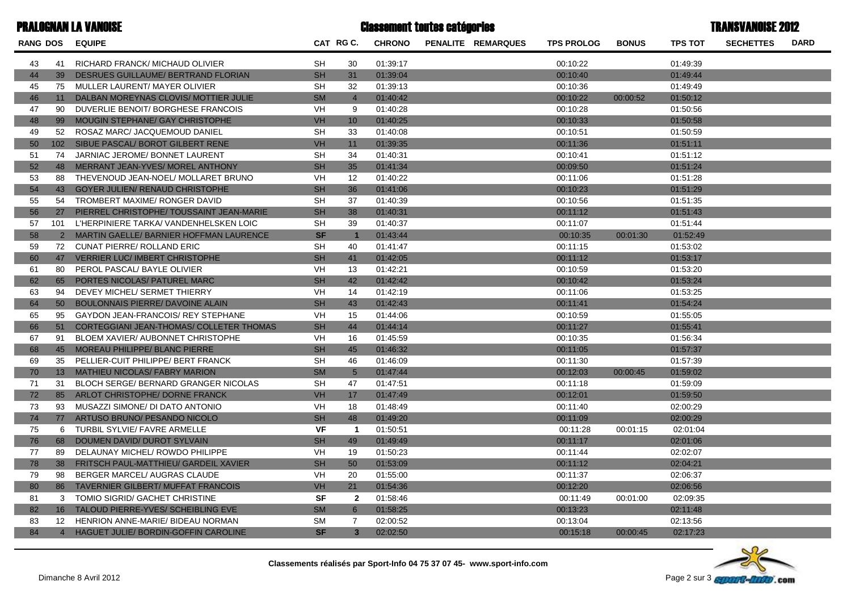| <b>PRALOGNAN LA VANOISE</b> |                 |                                                 |           | <b>Classement toutes catégories</b> |               | <b>TRANSVANOISE 2012</b>  |                   |              |                |                  |             |
|-----------------------------|-----------------|-------------------------------------------------|-----------|-------------------------------------|---------------|---------------------------|-------------------|--------------|----------------|------------------|-------------|
| <b>RANG DOS</b>             |                 | <b>EQUIPE</b>                                   |           | CAT RG C.                           | <b>CHRONO</b> | <b>PENALITE REMARQUES</b> | <b>TPS PROLOG</b> | <b>BONUS</b> | <b>TPS TOT</b> | <b>SECHETTES</b> | <b>DARD</b> |
| 43                          | 41              | RICHARD FRANCK/ MICHAUD OLIVIER                 | <b>SH</b> | 30                                  | 01:39:17      |                           | 00:10:22          |              | 01:49:39       |                  |             |
| 44                          | 39              | DESRUES GUILLAUME/ BERTRAND FLORIAN             | <b>SH</b> | 31                                  | 01:39:04      |                           | 00:10:40          |              | 01:49:44       |                  |             |
| 45                          | 75              | MULLER LAURENT/ MAYER OLIVIER                   | <b>SH</b> | 32                                  | 01:39:13      |                           | 00:10:36          |              | 01:49:49       |                  |             |
| 46                          | 11              | DALBAN MOREYNAS CLOVIS/ MOTTIER JULIE           | <b>SM</b> | $\overline{4}$                      | 01:40:42      |                           | 00:10:22          | 00:00:52     | 01:50:12       |                  |             |
| 47                          | 90              | DUVERLIE BENOIT/ BORGHESE FRANCOIS              | VH        | 9                                   | 01:40:28      |                           | 00:10:28          |              | 01:50:56       |                  |             |
| 48                          | 99              | MOUGIN STEPHANE/ GAY CHRISTOPHE                 | <b>VH</b> | 10 <sup>1</sup>                     | 01:40:25      |                           | 00:10:33          |              | 01:50:58       |                  |             |
| 49                          | 52              | ROSAZ MARC/ JACQUEMOUD DANIEL                   | <b>SH</b> | 33                                  | 01:40:08      |                           | 00:10:51          |              | 01:50:59       |                  |             |
| 50                          | 102             | SIBUE PASCAL/ BOROT GILBERT RENE                | VH        | 11                                  | 01:39:35      |                           | 00:11:36          |              | 01:51:11       |                  |             |
| 51                          | 74              | JARNIAC JEROME/ BONNET LAURENT                  | <b>SH</b> | 34                                  | 01:40:31      |                           | 00:10:41          |              | 01:51:12       |                  |             |
| 52                          | 48              | MERRANT JEAN-YVES/ MOREL ANTHONY                | <b>SH</b> | 35                                  | 01:41:34      |                           | 00:09:50          |              | 01:51:24       |                  |             |
| 53                          | 88              | THEVENOUD JEAN-NOEL/ MOLLARET BRUNO             | VH        | 12                                  | 01:40:22      |                           | 00:11:06          |              | 01:51:28       |                  |             |
| 54                          | 43              | <b>GOYER JULIEN/ RENAUD CHRISTOPHE</b>          | <b>SH</b> | 36                                  | 01:41:06      |                           | 00:10:23          |              | 01:51:29       |                  |             |
| 55                          | 54              | TROMBERT MAXIME/ RONGER DAVID                   | <b>SH</b> | 37                                  | 01:40:39      |                           | 00:10:56          |              | 01:51:35       |                  |             |
| 56                          | 27              | PIERREL CHRISTOPHE/ TOUSSAINT JEAN-MARIE        | <b>SH</b> | 38                                  | 01:40:31      |                           | 00:11:12          |              | 01:51:43       |                  |             |
| 57                          | 101             | L'HERPINIERE TARKA/ VANDENHELSKEN LOIC          | <b>SH</b> | 39                                  | 01:40:37      |                           | 00:11:07          |              | 01:51:44       |                  |             |
| 58                          |                 | 2 MARTIN GAELLE/ BARNIER HOFFMAN LAURENCE       | <b>SF</b> | $\mathbf{1}$                        | 01:43:44      |                           | 00:10:35          | 00:01:30     | 01:52:49       |                  |             |
| 59                          |                 | 72 CUNAT PIERRE/ ROLLAND ERIC                   | <b>SH</b> | 40                                  | 01:41:47      |                           | 00:11:15          |              | 01:53:02       |                  |             |
| 60                          | 47              | <b>VERRIER LUC/ IMBERT CHRISTOPHE</b>           | <b>SH</b> | 41                                  | 01:42:05      |                           | 00:11:12          |              | 01:53:17       |                  |             |
| 61                          | 80              | PEROL PASCAL/ BAYLE OLIVIER                     | <b>VH</b> | 13                                  | 01:42:21      |                           | 00:10:59          |              | 01:53:20       |                  |             |
| 62                          | 65              | PORTES NICOLAS/ PATUREL MARC                    | <b>SH</b> | 42                                  | 01:42:42      |                           | 00:10:42          |              | 01:53:24       |                  |             |
| 63                          | 94              | DEVEY MICHEL/ SERMET THIERRY                    | VH        | 14                                  | 01:42:19      |                           | 00:11:06          |              | 01:53:25       |                  |             |
| 64                          | 50 <sup>°</sup> | <b>BOULONNAIS PIERRE/ DAVOINE ALAIN</b>         | <b>SH</b> | 43                                  | 01:42:43      |                           | 00:11:41          |              | 01:54:24       |                  |             |
| 65                          | 95              | GAYDON JEAN-FRANCOIS/ REY STEPHANE              | VH        | 15                                  | 01:44:06      |                           | 00:10:59          |              | 01:55:05       |                  |             |
| 66                          | 51              | <b>CORTEGGIANI JEAN-THOMAS/ COLLETER THOMAS</b> | <b>SH</b> | 44                                  | 01:44:14      |                           | 00:11:27          |              | 01:55:41       |                  |             |
| 67                          | 91              | BLOEM XAVIER/ AUBONNET CHRISTOPHE               | VH        | 16                                  | 01:45:59      |                           | 00:10:35          |              | 01:56:34       |                  |             |
| 68                          | 45              | MOREAU PHILIPPE/ BLANC PIERRE                   | <b>SH</b> | 45                                  | 01:46:32      |                           | 00:11:05          |              | 01:57:37       |                  |             |
| 69                          | 35              | PELLIER-CUIT PHILIPPE/ BERT FRANCK              | <b>SH</b> | 46                                  | 01:46:09      |                           | 00:11:30          |              | 01:57:39       |                  |             |
| 70                          | 13 <sup>7</sup> | <b>MATHIEU NICOLAS/ FABRY MARION</b>            | <b>SM</b> | $5\overline{)}$                     | 01:47:44      |                           | 00:12:03          | 00:00:45     | 01:59:02       |                  |             |
| 71                          | 31              | BLOCH SERGE/ BERNARD GRANGER NICOLAS            | <b>SH</b> | 47                                  | 01:47:51      |                           | 00:11:18          |              | 01:59:09       |                  |             |
| 72                          | 85              | ARLOT CHRISTOPHE/ DORNE FRANCK                  | <b>VH</b> | 17                                  | 01:47:49      |                           | 00:12:01          |              | 01:59:50       |                  |             |
| 73                          | 93              | MUSAZZI SIMONE/ DI DATO ANTONIO                 | VH        | 18                                  | 01:48:49      |                           | 00:11:40          |              | 02:00:29       |                  |             |
| 74                          | 77              | ARTUSO BRUNO/ PESANDO NICOLO                    | <b>SH</b> | 48                                  | 01:49:20      |                           | 00:11:09          |              | 02:00:29       |                  |             |
| 75                          |                 | 6 TURBIL SYLVIE/ FAVRE ARMELLE                  | VF        | $\overline{1}$                      | 01:50:51      |                           | 00:11:28          | 00:01:15     | 02:01:04       |                  |             |
| 76                          | 68              | DOUMEN DAVID/ DUROT SYLVAIN                     | <b>SH</b> | 49                                  | 01:49:49      |                           | 00:11:17          |              | 02:01:06       |                  |             |
| 77                          | 89              | DELAUNAY MICHEL/ ROWDO PHILIPPE                 | VH        | 19                                  | 01:50:23      |                           | 00:11:44          |              | 02:02:07       |                  |             |
| 78                          | 38              | <b>FRITSCH PAUL-MATTHIEU/ GARDEIL XAVIER</b>    | <b>SH</b> | 50                                  | 01:53:09      |                           | 00:11:12          |              | 02:04:21       |                  |             |
| 79                          | 98              | BERGER MARCEL/ AUGRAS CLAUDE                    | <b>VH</b> | 20                                  | 01:55:00      |                           | 00:11:37          |              | 02:06:37       |                  |             |
| 80                          | 86              | <b>TAVERNIER GILBERT/ MUFFAT FRANCOIS</b>       | <b>VH</b> | 21                                  | 01:54:36      |                           | 00:12:20          |              | 02:06:56       |                  |             |
| 81                          | 3               | TOMIO SIGRID/ GACHET CHRISTINE                  | <b>SF</b> | $\overline{2}$                      | 01:58:46      |                           | 00:11:49          | 00:01:00     | 02:09:35       |                  |             |
| 82                          | 16 <sup>1</sup> | TALOUD PIERRE-YVES/ SCHEIBLING EVE              | <b>SM</b> | $6\overline{6}$                     | 01:58:25      |                           | 00:13:23          |              | 02:11:48       |                  |             |
| 83                          | 12              | HENRION ANNE-MARIE/ BIDEAU NORMAN               | <b>SM</b> | 7                                   | 02:00:52      |                           | 00:13:04          |              | 02:13:56       |                  |             |
| 84                          | $\overline{4}$  | <b>HAGUET JULIE/ BORDIN-GOFFIN CAROLINE</b>     | <b>SF</b> | $\overline{3}$                      | 02:02:50      |                           | 00:15:18          | 00:00:45     | 02:17:23       |                  |             |